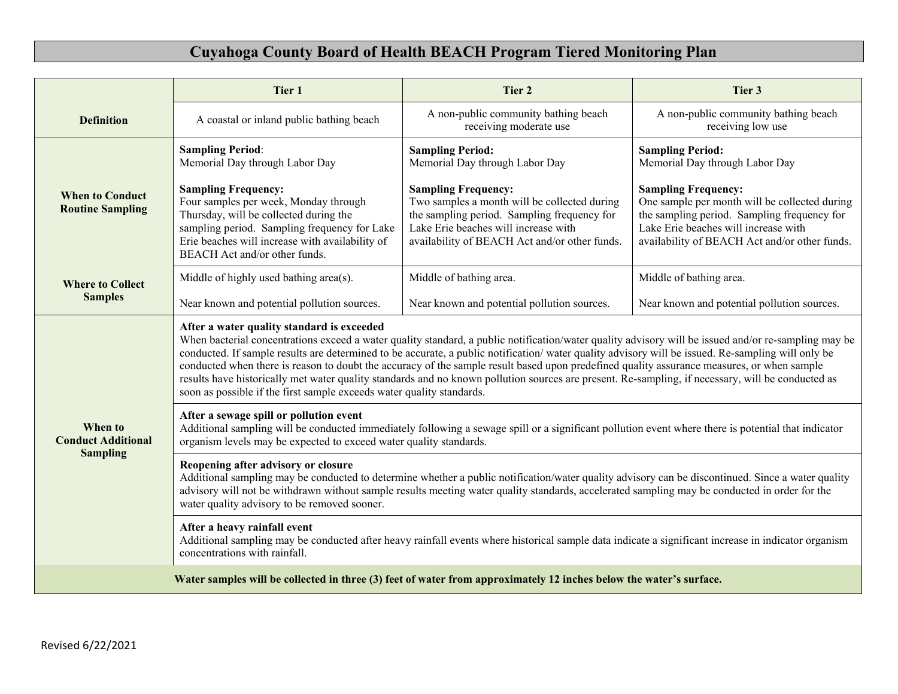## **Cuyahoga County Board of Health BEACH Program Tiered Monitoring Plan**

|                                                                                                                    | Tier 1                                                                                                                                                                                                                                                                                                                                                                                                                                                                                                                                                                                                                                                                                                                              | Tier 2                                                                                                                                                                                                             | Tier 3                                                                                                                                                                                                              |
|--------------------------------------------------------------------------------------------------------------------|-------------------------------------------------------------------------------------------------------------------------------------------------------------------------------------------------------------------------------------------------------------------------------------------------------------------------------------------------------------------------------------------------------------------------------------------------------------------------------------------------------------------------------------------------------------------------------------------------------------------------------------------------------------------------------------------------------------------------------------|--------------------------------------------------------------------------------------------------------------------------------------------------------------------------------------------------------------------|---------------------------------------------------------------------------------------------------------------------------------------------------------------------------------------------------------------------|
| <b>Definition</b>                                                                                                  | A coastal or inland public bathing beach                                                                                                                                                                                                                                                                                                                                                                                                                                                                                                                                                                                                                                                                                            | A non-public community bathing beach<br>receiving moderate use                                                                                                                                                     | A non-public community bathing beach<br>receiving low use                                                                                                                                                           |
| <b>When to Conduct</b><br><b>Routine Sampling</b>                                                                  | <b>Sampling Period:</b><br>Memorial Day through Labor Day                                                                                                                                                                                                                                                                                                                                                                                                                                                                                                                                                                                                                                                                           | <b>Sampling Period:</b><br>Memorial Day through Labor Day                                                                                                                                                          | <b>Sampling Period:</b><br>Memorial Day through Labor Day                                                                                                                                                           |
|                                                                                                                    | <b>Sampling Frequency:</b><br>Four samples per week, Monday through<br>Thursday, will be collected during the<br>sampling period. Sampling frequency for Lake<br>Erie beaches will increase with availability of<br>BEACH Act and/or other funds.                                                                                                                                                                                                                                                                                                                                                                                                                                                                                   | <b>Sampling Frequency:</b><br>Two samples a month will be collected during<br>the sampling period. Sampling frequency for<br>Lake Erie beaches will increase with<br>availability of BEACH Act and/or other funds. | <b>Sampling Frequency:</b><br>One sample per month will be collected during<br>the sampling period. Sampling frequency for<br>Lake Erie beaches will increase with<br>availability of BEACH Act and/or other funds. |
| <b>Where to Collect</b><br><b>Samples</b>                                                                          | Middle of highly used bathing area(s).                                                                                                                                                                                                                                                                                                                                                                                                                                                                                                                                                                                                                                                                                              | Middle of bathing area.                                                                                                                                                                                            | Middle of bathing area.                                                                                                                                                                                             |
|                                                                                                                    | Near known and potential pollution sources.                                                                                                                                                                                                                                                                                                                                                                                                                                                                                                                                                                                                                                                                                         | Near known and potential pollution sources.                                                                                                                                                                        | Near known and potential pollution sources.                                                                                                                                                                         |
| When to<br><b>Conduct Additional</b><br><b>Sampling</b>                                                            | After a water quality standard is exceeded<br>When bacterial concentrations exceed a water quality standard, a public notification/water quality advisory will be issued and/or re-sampling may be<br>conducted. If sample results are determined to be accurate, a public notification/water quality advisory will be issued. Re-sampling will only be<br>conducted when there is reason to doubt the accuracy of the sample result based upon predefined quality assurance measures, or when sample<br>results have historically met water quality standards and no known pollution sources are present. Re-sampling, if necessary, will be conducted as<br>soon as possible if the first sample exceeds water quality standards. |                                                                                                                                                                                                                    |                                                                                                                                                                                                                     |
|                                                                                                                    | After a sewage spill or pollution event<br>Additional sampling will be conducted immediately following a sewage spill or a significant pollution event where there is potential that indicator<br>organism levels may be expected to exceed water quality standards.                                                                                                                                                                                                                                                                                                                                                                                                                                                                |                                                                                                                                                                                                                    |                                                                                                                                                                                                                     |
|                                                                                                                    | Reopening after advisory or closure<br>Additional sampling may be conducted to determine whether a public notification/water quality advisory can be discontinued. Since a water quality<br>advisory will not be withdrawn without sample results meeting water quality standards, accelerated sampling may be conducted in order for the<br>water quality advisory to be removed sooner.                                                                                                                                                                                                                                                                                                                                           |                                                                                                                                                                                                                    |                                                                                                                                                                                                                     |
|                                                                                                                    | After a heavy rainfall event<br>Additional sampling may be conducted after heavy rainfall events where historical sample data indicate a significant increase in indicator organism<br>concentrations with rainfall.                                                                                                                                                                                                                                                                                                                                                                                                                                                                                                                |                                                                                                                                                                                                                    |                                                                                                                                                                                                                     |
| Water samples will be collected in three (3) feet of water from approximately 12 inches below the water's surface. |                                                                                                                                                                                                                                                                                                                                                                                                                                                                                                                                                                                                                                                                                                                                     |                                                                                                                                                                                                                    |                                                                                                                                                                                                                     |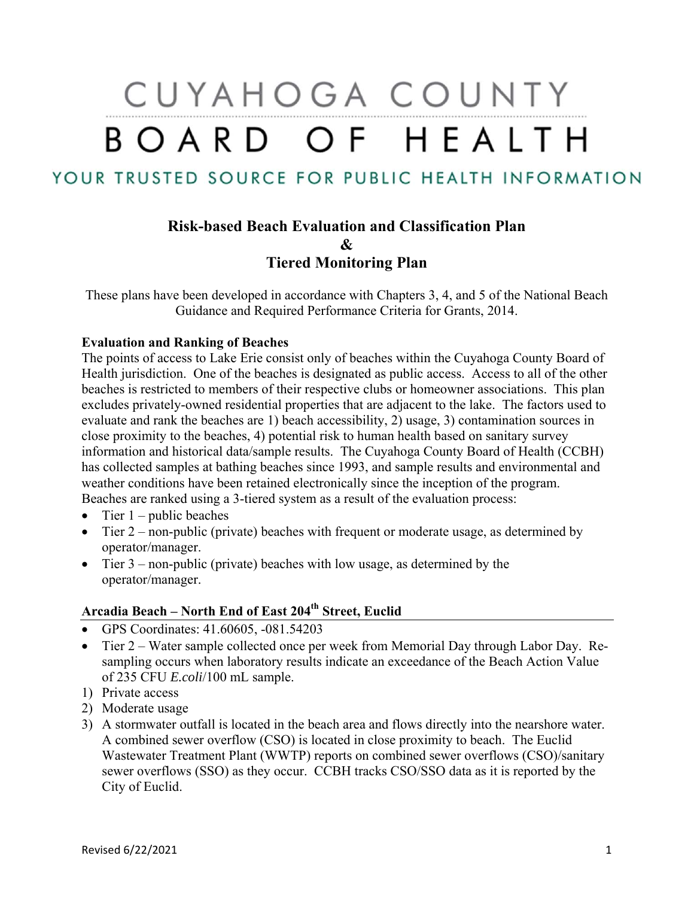# CUYAHOGA COUNTY BOARD OF HEALTH

YOUR TRUSTED SOURCE FOR PUBLIC HEALTH INFORMATION

## **Risk-based Beach Evaluation and Classification Plan & Tiered Monitoring Plan**

These plans have been developed in accordance with Chapters 3, 4, and 5 of the National Beach Guidance and Required Performance Criteria for Grants, 2014.

#### **Evaluation and Ranking of Beaches**

The points of access to Lake Erie consist only of beaches within the Cuyahoga County Board of Health jurisdiction. One of the beaches is designated as public access. Access to all of the other beaches is restricted to members of their respective clubs or homeowner associations. This plan excludes privately-owned residential properties that are adjacent to the lake. The factors used to evaluate and rank the beaches are 1) beach accessibility, 2) usage, 3) contamination sources in close proximity to the beaches, 4) potential risk to human health based on sanitary survey information and historical data/sample results. The Cuyahoga County Board of Health (CCBH) has collected samples at bathing beaches since 1993, and sample results and environmental and weather conditions have been retained electronically since the inception of the program. Beaches are ranked using a 3-tiered system as a result of the evaluation process:

- $\bullet$  Tier 1 public beaches
- Tier  $2$  non-public (private) beaches with frequent or moderate usage, as determined by operator/manager.
- Tier  $3$  non-public (private) beaches with low usage, as determined by the operator/manager.

### **Arcadia Beach – North End of East 204th Street, Euclid**

- GPS Coordinates: 41.60605, -081.54203
- Tier 2 Water sample collected once per week from Memorial Day through Labor Day. Resampling occurs when laboratory results indicate an exceedance of the Beach Action Value of 235 CFU *E.coli*/100 mL sample.
- 1) Private access
- 2) Moderate usage
- 3) A stormwater outfall is located in the beach area and flows directly into the nearshore water. A combined sewer overflow (CSO) is located in close proximity to beach. The Euclid Wastewater Treatment Plant (WWTP) reports on combined sewer overflows (CSO)/sanitary sewer overflows (SSO) as they occur. CCBH tracks CSO/SSO data as it is reported by the City of Euclid.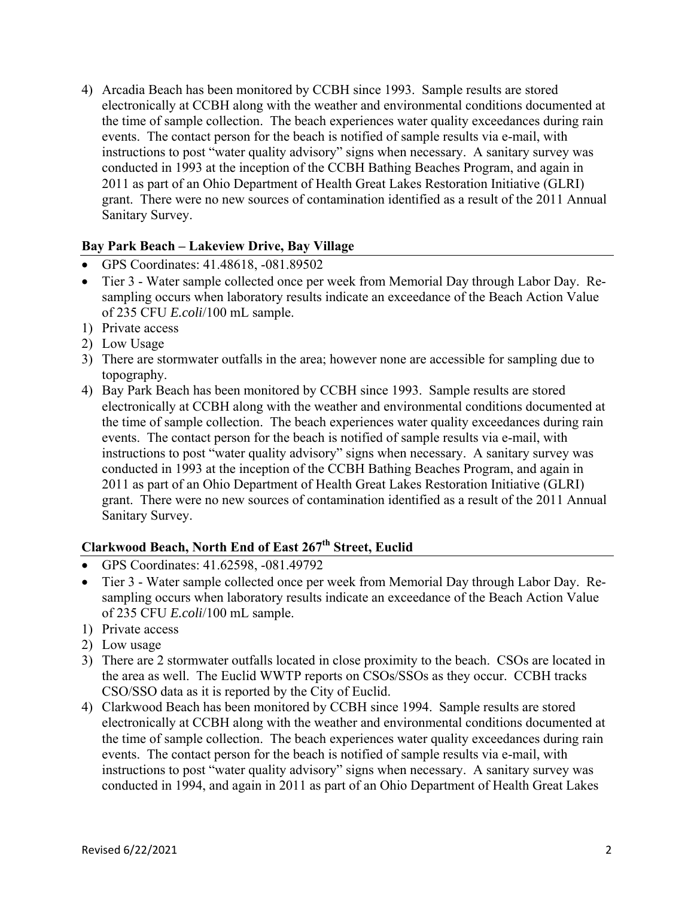4) Arcadia Beach has been monitored by CCBH since 1993. Sample results are stored electronically at CCBH along with the weather and environmental conditions documented at the time of sample collection. The beach experiences water quality exceedances during rain events. The contact person for the beach is notified of sample results via e-mail, with instructions to post "water quality advisory" signs when necessary. A sanitary survey was conducted in 1993 at the inception of the CCBH Bathing Beaches Program, and again in 2011 as part of an Ohio Department of Health Great Lakes Restoration Initiative (GLRI) grant. There were no new sources of contamination identified as a result of the 2011 Annual Sanitary Survey.

#### **Bay Park Beach – Lakeview Drive, Bay Village**

- GPS Coordinates: 41.48618, -081.89502
- Tier 3 Water sample collected once per week from Memorial Day through Labor Day. Resampling occurs when laboratory results indicate an exceedance of the Beach Action Value of 235 CFU *E.coli*/100 mL sample.
- 1) Private access
- 2) Low Usage
- 3) There are stormwater outfalls in the area; however none are accessible for sampling due to topography.
- 4) Bay Park Beach has been monitored by CCBH since 1993. Sample results are stored electronically at CCBH along with the weather and environmental conditions documented at the time of sample collection. The beach experiences water quality exceedances during rain events. The contact person for the beach is notified of sample results via e-mail, with instructions to post "water quality advisory" signs when necessary. A sanitary survey was conducted in 1993 at the inception of the CCBH Bathing Beaches Program, and again in 2011 as part of an Ohio Department of Health Great Lakes Restoration Initiative (GLRI) grant. There were no new sources of contamination identified as a result of the 2011 Annual Sanitary Survey.

#### **Clarkwood Beach, North End of East 267th Street, Euclid**

- GPS Coordinates: 41.62598, -081.49792
- Tier 3 Water sample collected once per week from Memorial Day through Labor Day. Resampling occurs when laboratory results indicate an exceedance of the Beach Action Value of 235 CFU *E.coli*/100 mL sample.
- 1) Private access
- 2) Low usage
- 3) There are 2 stormwater outfalls located in close proximity to the beach. CSOs are located in the area as well. The Euclid WWTP reports on CSOs/SSOs as they occur. CCBH tracks CSO/SSO data as it is reported by the City of Euclid.
- 4) Clarkwood Beach has been monitored by CCBH since 1994. Sample results are stored electronically at CCBH along with the weather and environmental conditions documented at the time of sample collection. The beach experiences water quality exceedances during rain events. The contact person for the beach is notified of sample results via e-mail, with instructions to post "water quality advisory" signs when necessary. A sanitary survey was conducted in 1994, and again in 2011 as part of an Ohio Department of Health Great Lakes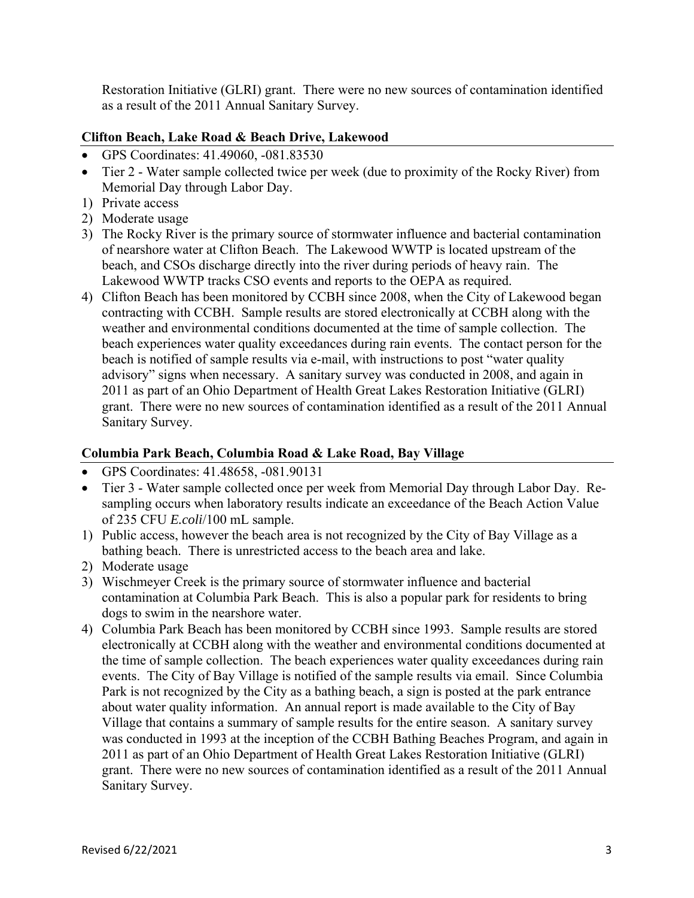Restoration Initiative (GLRI) grant. There were no new sources of contamination identified as a result of the 2011 Annual Sanitary Survey.

#### **Clifton Beach, Lake Road & Beach Drive, Lakewood**

- GPS Coordinates: 41.49060, -081.83530
- Tier 2 Water sample collected twice per week (due to proximity of the Rocky River) from Memorial Day through Labor Day.
- 1) Private access
- 2) Moderate usage
- 3) The Rocky River is the primary source of stormwater influence and bacterial contamination of nearshore water at Clifton Beach. The Lakewood WWTP is located upstream of the beach, and CSOs discharge directly into the river during periods of heavy rain. The Lakewood WWTP tracks CSO events and reports to the OEPA as required.
- 4) Clifton Beach has been monitored by CCBH since 2008, when the City of Lakewood began contracting with CCBH. Sample results are stored electronically at CCBH along with the weather and environmental conditions documented at the time of sample collection. The beach experiences water quality exceedances during rain events. The contact person for the beach is notified of sample results via e-mail, with instructions to post "water quality advisory" signs when necessary. A sanitary survey was conducted in 2008, and again in 2011 as part of an Ohio Department of Health Great Lakes Restoration Initiative (GLRI) grant. There were no new sources of contamination identified as a result of the 2011 Annual Sanitary Survey.

#### **Columbia Park Beach, Columbia Road & Lake Road, Bay Village**

- GPS Coordinates: 41.48658, -081.90131
- Tier 3 Water sample collected once per week from Memorial Day through Labor Day. Resampling occurs when laboratory results indicate an exceedance of the Beach Action Value of 235 CFU *E.coli*/100 mL sample.
- 1) Public access, however the beach area is not recognized by the City of Bay Village as a bathing beach. There is unrestricted access to the beach area and lake.
- 2) Moderate usage
- 3) Wischmeyer Creek is the primary source of stormwater influence and bacterial contamination at Columbia Park Beach. This is also a popular park for residents to bring dogs to swim in the nearshore water.
- 4) Columbia Park Beach has been monitored by CCBH since 1993. Sample results are stored electronically at CCBH along with the weather and environmental conditions documented at the time of sample collection. The beach experiences water quality exceedances during rain events. The City of Bay Village is notified of the sample results via email. Since Columbia Park is not recognized by the City as a bathing beach, a sign is posted at the park entrance about water quality information. An annual report is made available to the City of Bay Village that contains a summary of sample results for the entire season. A sanitary survey was conducted in 1993 at the inception of the CCBH Bathing Beaches Program, and again in 2011 as part of an Ohio Department of Health Great Lakes Restoration Initiative (GLRI) grant. There were no new sources of contamination identified as a result of the 2011 Annual Sanitary Survey.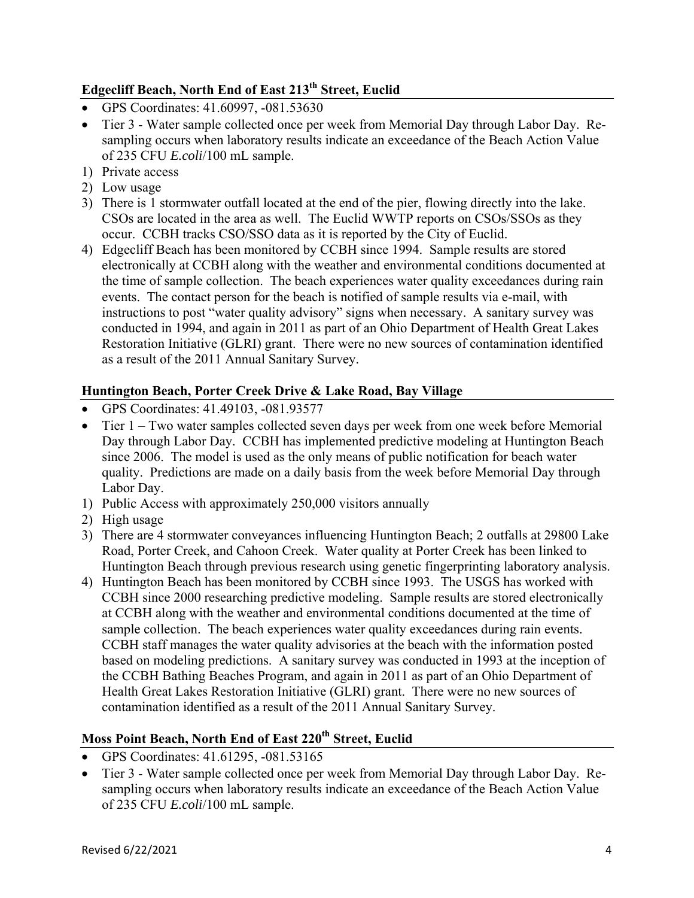## **Edgecliff Beach, North End of East 213th Street, Euclid**

- GPS Coordinates: 41.60997, -081.53630
- Tier 3 Water sample collected once per week from Memorial Day through Labor Day. Resampling occurs when laboratory results indicate an exceedance of the Beach Action Value of 235 CFU *E.coli*/100 mL sample.
- 1) Private access
- 2) Low usage
- 3) There is 1 stormwater outfall located at the end of the pier, flowing directly into the lake. CSOs are located in the area as well. The Euclid WWTP reports on CSOs/SSOs as they occur. CCBH tracks CSO/SSO data as it is reported by the City of Euclid.
- 4) Edgecliff Beach has been monitored by CCBH since 1994. Sample results are stored electronically at CCBH along with the weather and environmental conditions documented at the time of sample collection. The beach experiences water quality exceedances during rain events. The contact person for the beach is notified of sample results via e-mail, with instructions to post "water quality advisory" signs when necessary. A sanitary survey was conducted in 1994, and again in 2011 as part of an Ohio Department of Health Great Lakes Restoration Initiative (GLRI) grant. There were no new sources of contamination identified as a result of the 2011 Annual Sanitary Survey.

#### **Huntington Beach, Porter Creek Drive & Lake Road, Bay Village**

- GPS Coordinates: 41.49103, -081.93577
- Tier 1 Two water samples collected seven days per week from one week before Memorial Day through Labor Day. CCBH has implemented predictive modeling at Huntington Beach since 2006. The model is used as the only means of public notification for beach water quality. Predictions are made on a daily basis from the week before Memorial Day through Labor Day.
- 1) Public Access with approximately 250,000 visitors annually
- 2) High usage
- 3) There are 4 stormwater conveyances influencing Huntington Beach; 2 outfalls at 29800 Lake Road, Porter Creek, and Cahoon Creek. Water quality at Porter Creek has been linked to Huntington Beach through previous research using genetic fingerprinting laboratory analysis.
- 4) Huntington Beach has been monitored by CCBH since 1993. The USGS has worked with CCBH since 2000 researching predictive modeling. Sample results are stored electronically at CCBH along with the weather and environmental conditions documented at the time of sample collection. The beach experiences water quality exceedances during rain events. CCBH staff manages the water quality advisories at the beach with the information posted based on modeling predictions. A sanitary survey was conducted in 1993 at the inception of the CCBH Bathing Beaches Program, and again in 2011 as part of an Ohio Department of Health Great Lakes Restoration Initiative (GLRI) grant. There were no new sources of contamination identified as a result of the 2011 Annual Sanitary Survey.

## **Moss Point Beach, North End of East 220<sup>th</sup> Street, Euclid**

- GPS Coordinates: 41.61295, -081.53165
- Tier 3 Water sample collected once per week from Memorial Day through Labor Day. Resampling occurs when laboratory results indicate an exceedance of the Beach Action Value of 235 CFU *E.coli*/100 mL sample.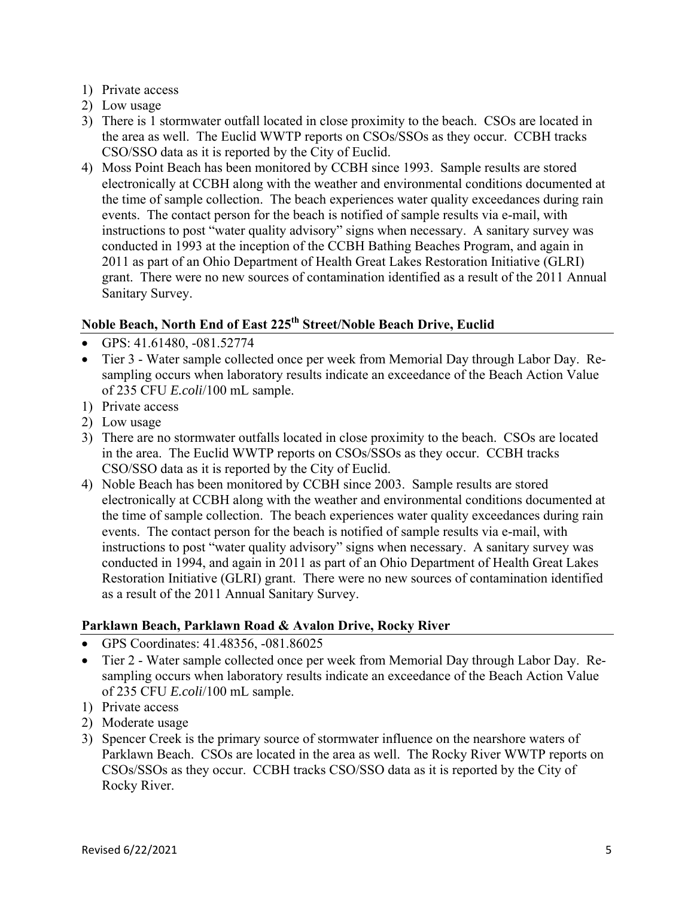- 1) Private access
- 2) Low usage
- 3) There is 1 stormwater outfall located in close proximity to the beach. CSOs are located in the area as well. The Euclid WWTP reports on CSOs/SSOs as they occur. CCBH tracks CSO/SSO data as it is reported by the City of Euclid.
- 4) Moss Point Beach has been monitored by CCBH since 1993. Sample results are stored electronically at CCBH along with the weather and environmental conditions documented at the time of sample collection. The beach experiences water quality exceedances during rain events. The contact person for the beach is notified of sample results via e-mail, with instructions to post "water quality advisory" signs when necessary. A sanitary survey was conducted in 1993 at the inception of the CCBH Bathing Beaches Program, and again in 2011 as part of an Ohio Department of Health Great Lakes Restoration Initiative (GLRI) grant. There were no new sources of contamination identified as a result of the 2011 Annual Sanitary Survey.

#### **Noble Beach, North End of East 225th Street/Noble Beach Drive, Euclid**

- GPS: 41.61480, -081.52774
- Tier 3 Water sample collected once per week from Memorial Day through Labor Day. Resampling occurs when laboratory results indicate an exceedance of the Beach Action Value of 235 CFU *E.coli*/100 mL sample.
- 1) Private access
- 2) Low usage
- 3) There are no stormwater outfalls located in close proximity to the beach. CSOs are located in the area. The Euclid WWTP reports on CSOs/SSOs as they occur. CCBH tracks CSO/SSO data as it is reported by the City of Euclid.
- 4) Noble Beach has been monitored by CCBH since 2003. Sample results are stored electronically at CCBH along with the weather and environmental conditions documented at the time of sample collection. The beach experiences water quality exceedances during rain events. The contact person for the beach is notified of sample results via e-mail, with instructions to post "water quality advisory" signs when necessary. A sanitary survey was conducted in 1994, and again in 2011 as part of an Ohio Department of Health Great Lakes Restoration Initiative (GLRI) grant. There were no new sources of contamination identified as a result of the 2011 Annual Sanitary Survey.

#### **Parklawn Beach, Parklawn Road & Avalon Drive, Rocky River**

- GPS Coordinates: 41.48356, -081.86025
- Tier 2 Water sample collected once per week from Memorial Day through Labor Day. Resampling occurs when laboratory results indicate an exceedance of the Beach Action Value of 235 CFU *E.coli*/100 mL sample.
- 1) Private access
- 2) Moderate usage
- 3) Spencer Creek is the primary source of stormwater influence on the nearshore waters of Parklawn Beach. CSOs are located in the area as well. The Rocky River WWTP reports on CSOs/SSOs as they occur. CCBH tracks CSO/SSO data as it is reported by the City of Rocky River.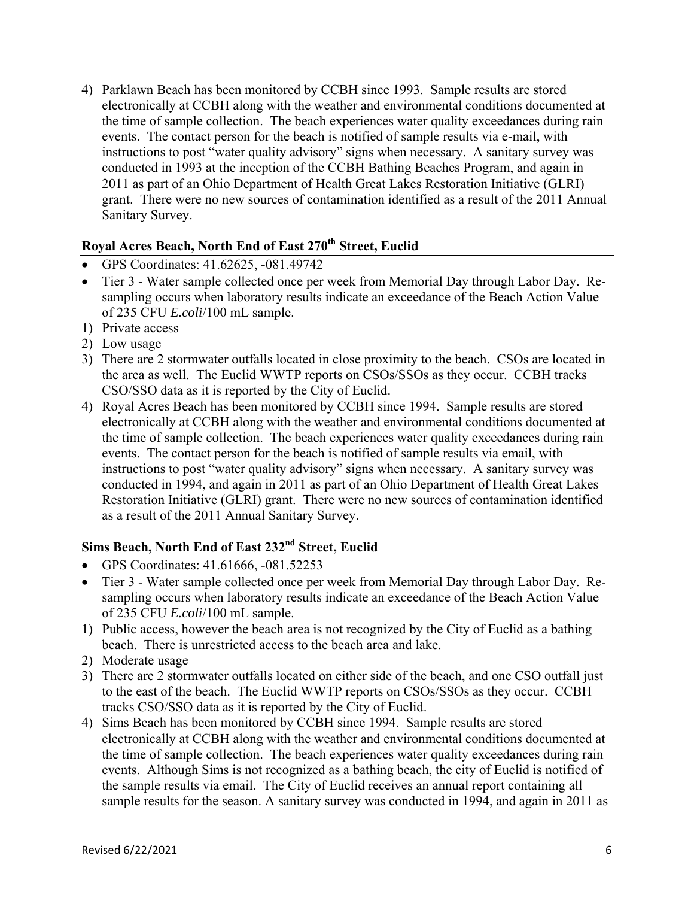4) Parklawn Beach has been monitored by CCBH since 1993. Sample results are stored electronically at CCBH along with the weather and environmental conditions documented at the time of sample collection. The beach experiences water quality exceedances during rain events. The contact person for the beach is notified of sample results via e-mail, with instructions to post "water quality advisory" signs when necessary. A sanitary survey was conducted in 1993 at the inception of the CCBH Bathing Beaches Program, and again in 2011 as part of an Ohio Department of Health Great Lakes Restoration Initiative (GLRI) grant. There were no new sources of contamination identified as a result of the 2011 Annual Sanitary Survey.

#### Royal Acres Beach, North End of East 270<sup>th</sup> Street, Euclid

- GPS Coordinates: 41.62625, -081.49742
- Tier 3 Water sample collected once per week from Memorial Day through Labor Day. Resampling occurs when laboratory results indicate an exceedance of the Beach Action Value of 235 CFU *E.coli*/100 mL sample.
- 1) Private access
- 2) Low usage
- 3) There are 2 stormwater outfalls located in close proximity to the beach. CSOs are located in the area as well. The Euclid WWTP reports on CSOs/SSOs as they occur. CCBH tracks CSO/SSO data as it is reported by the City of Euclid.
- 4) Royal Acres Beach has been monitored by CCBH since 1994. Sample results are stored electronically at CCBH along with the weather and environmental conditions documented at the time of sample collection. The beach experiences water quality exceedances during rain events. The contact person for the beach is notified of sample results via email, with instructions to post "water quality advisory" signs when necessary. A sanitary survey was conducted in 1994, and again in 2011 as part of an Ohio Department of Health Great Lakes Restoration Initiative (GLRI) grant. There were no new sources of contamination identified as a result of the 2011 Annual Sanitary Survey.

## **Sims Beach, North End of East 232nd Street, Euclid**

- GPS Coordinates: 41.61666, -081.52253
- Tier 3 Water sample collected once per week from Memorial Day through Labor Day. Resampling occurs when laboratory results indicate an exceedance of the Beach Action Value of 235 CFU *E.coli*/100 mL sample.
- 1) Public access, however the beach area is not recognized by the City of Euclid as a bathing beach. There is unrestricted access to the beach area and lake.
- 2) Moderate usage
- 3) There are 2 stormwater outfalls located on either side of the beach, and one CSO outfall just to the east of the beach. The Euclid WWTP reports on CSOs/SSOs as they occur. CCBH tracks CSO/SSO data as it is reported by the City of Euclid.
- 4) Sims Beach has been monitored by CCBH since 1994. Sample results are stored electronically at CCBH along with the weather and environmental conditions documented at the time of sample collection. The beach experiences water quality exceedances during rain events. Although Sims is not recognized as a bathing beach, the city of Euclid is notified of the sample results via email. The City of Euclid receives an annual report containing all sample results for the season. A sanitary survey was conducted in 1994, and again in 2011 as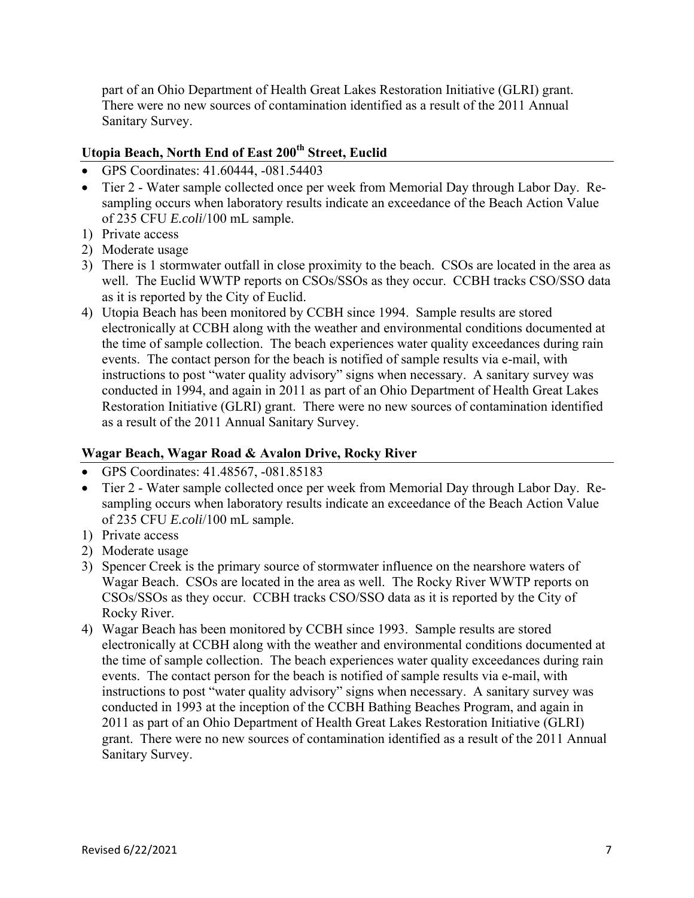part of an Ohio Department of Health Great Lakes Restoration Initiative (GLRI) grant. There were no new sources of contamination identified as a result of the 2011 Annual Sanitary Survey.

## **Utopia Beach, North End of East 200th Street, Euclid**

- GPS Coordinates: 41.60444, -081.54403
- Tier 2 Water sample collected once per week from Memorial Day through Labor Day. Resampling occurs when laboratory results indicate an exceedance of the Beach Action Value of 235 CFU *E.coli*/100 mL sample.
- 1) Private access
- 2) Moderate usage
- 3) There is 1 stormwater outfall in close proximity to the beach. CSOs are located in the area as well. The Euclid WWTP reports on CSOs/SSOs as they occur. CCBH tracks CSO/SSO data as it is reported by the City of Euclid.
- 4) Utopia Beach has been monitored by CCBH since 1994. Sample results are stored electronically at CCBH along with the weather and environmental conditions documented at the time of sample collection. The beach experiences water quality exceedances during rain events. The contact person for the beach is notified of sample results via e-mail, with instructions to post "water quality advisory" signs when necessary. A sanitary survey was conducted in 1994, and again in 2011 as part of an Ohio Department of Health Great Lakes Restoration Initiative (GLRI) grant. There were no new sources of contamination identified as a result of the 2011 Annual Sanitary Survey.

#### **Wagar Beach, Wagar Road & Avalon Drive, Rocky River**

- GPS Coordinates: 41.48567, -081.85183
- Tier 2 Water sample collected once per week from Memorial Day through Labor Day. Resampling occurs when laboratory results indicate an exceedance of the Beach Action Value of 235 CFU *E.coli*/100 mL sample.
- 1) Private access
- 2) Moderate usage
- 3) Spencer Creek is the primary source of stormwater influence on the nearshore waters of Wagar Beach. CSOs are located in the area as well. The Rocky River WWTP reports on CSOs/SSOs as they occur. CCBH tracks CSO/SSO data as it is reported by the City of Rocky River.
- 4) Wagar Beach has been monitored by CCBH since 1993. Sample results are stored electronically at CCBH along with the weather and environmental conditions documented at the time of sample collection. The beach experiences water quality exceedances during rain events. The contact person for the beach is notified of sample results via e-mail, with instructions to post "water quality advisory" signs when necessary. A sanitary survey was conducted in 1993 at the inception of the CCBH Bathing Beaches Program, and again in 2011 as part of an Ohio Department of Health Great Lakes Restoration Initiative (GLRI) grant. There were no new sources of contamination identified as a result of the 2011 Annual Sanitary Survey.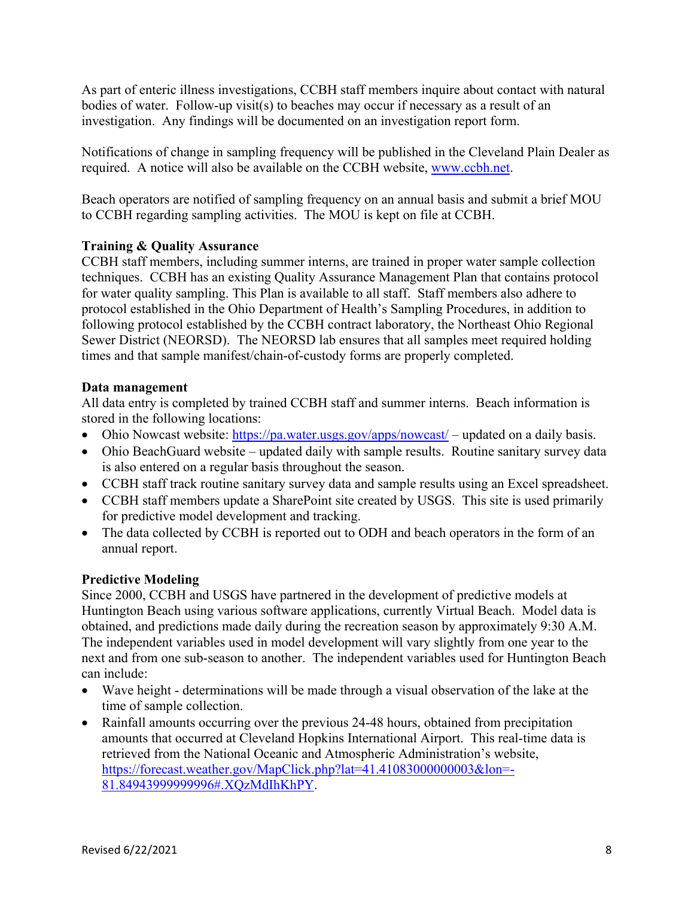As part of enteric illness investigations, CCBH staff members inquire about contact with natural bodies of water. Follow-up visit(s) to beaches may occur if necessary as a result of an investigation. Any findings will be documented on an investigation report form.

Notifications of change in sampling frequency will be published in the Cleveland Plain Dealer as required. A notice will also be available on the CCBH website, www.ccbh.net.

Beach operators are notified of sampling frequency on an annual basis and submit a brief MOU to CCBH regarding sampling activities. The MOU is kept on file at CCBH.

#### **Training & Quality Assurance**

CCBH staff members, including summer interns, are trained in proper water sample collection techniques. CCBH has an existing Quality Assurance Management Plan that contains protocol for water quality sampling. This Plan is available to all staff. Staff members also adhere to protocol established in the Ohio Department of Health's Sampling Procedures, in addition to following protocol established by the CCBH contract laboratory, the Northeast Ohio Regional Sewer District (NEORSD). The NEORSD lab ensures that all samples meet required holding times and that sample manifest/chain-of-custody forms are properly completed.

#### **Data management**

All data entry is completed by trained CCBH staff and summer interns. Beach information is stored in the following locations:

- Ohio Nowcast website:  $\frac{https://pa.water.usgs.gov/apps/noweak/">https://pa.water.usgs.gov/apps/noweak/}$  updated on a daily basis.
- Ohio BeachGuard website updated daily with sample results. Routine sanitary survey data is also entered on a regular basis throughout the season.
- CCBH staff track routine sanitary survey data and sample results using an Excel spreadsheet.
- CCBH staff members update a SharePoint site created by USGS. This site is used primarily for predictive model development and tracking.
- The data collected by CCBH is reported out to ODH and beach operators in the form of an annual report.

#### **Predictive Modeling**

Since 2000, CCBH and USGS have partnered in the development of predictive models at Huntington Beach using various software applications, currently Virtual Beach. Model data is obtained, and predictions made daily during the recreation season by approximately 9:30 A.M. The independent variables used in model development will vary slightly from one year to the next and from one sub-season to another. The independent variables used for Huntington Beach can include:

- Wave height determinations will be made through a visual observation of the lake at the time of sample collection.
- Rainfall amounts occurring over the previous 24-48 hours, obtained from precipitation amounts that occurred at Cleveland Hopkins International Airport. This real-time data is retrieved from the National Oceanic and Atmospheric Administration's website, https://forecast.weather.gov/MapClick.php?lat=41.41083000000003&lon=- 81.84943999999996#.XQzMdIhKhPY.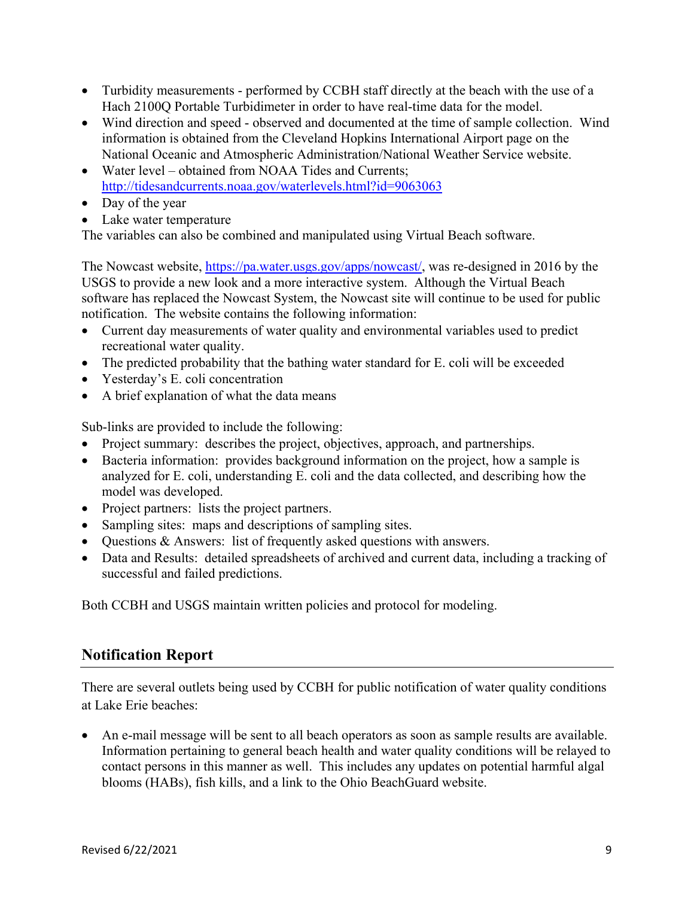- Turbidity measurements performed by CCBH staff directly at the beach with the use of a Hach 2100Q Portable Turbidimeter in order to have real-time data for the model.
- Wind direction and speed observed and documented at the time of sample collection. Wind information is obtained from the Cleveland Hopkins International Airport page on the National Oceanic and Atmospheric Administration/National Weather Service website.
- Water level obtained from NOAA Tides and Currents: http://tidesandcurrents.noaa.gov/waterlevels.html?id=9063063
- Day of the year
- Lake water temperature

The variables can also be combined and manipulated using Virtual Beach software.

The Nowcast website, https://pa.water.usgs.gov/apps/nowcast/, was re-designed in 2016 by the USGS to provide a new look and a more interactive system. Although the Virtual Beach software has replaced the Nowcast System, the Nowcast site will continue to be used for public notification. The website contains the following information:

- Current day measurements of water quality and environmental variables used to predict recreational water quality.
- The predicted probability that the bathing water standard for E. coli will be exceeded
- Yesterday's E. coli concentration
- A brief explanation of what the data means

Sub-links are provided to include the following:

- Project summary: describes the project, objectives, approach, and partnerships.
- Bacteria information: provides background information on the project, how a sample is analyzed for E. coli, understanding E. coli and the data collected, and describing how the model was developed.
- Project partners: lists the project partners.
- Sampling sites: maps and descriptions of sampling sites.
- Questions & Answers: list of frequently asked questions with answers.
- Data and Results: detailed spreadsheets of archived and current data, including a tracking of successful and failed predictions.

Both CCBH and USGS maintain written policies and protocol for modeling.

## **Notification Report**

There are several outlets being used by CCBH for public notification of water quality conditions at Lake Erie beaches:

 An e-mail message will be sent to all beach operators as soon as sample results are available. Information pertaining to general beach health and water quality conditions will be relayed to contact persons in this manner as well. This includes any updates on potential harmful algal blooms (HABs), fish kills, and a link to the Ohio BeachGuard website.